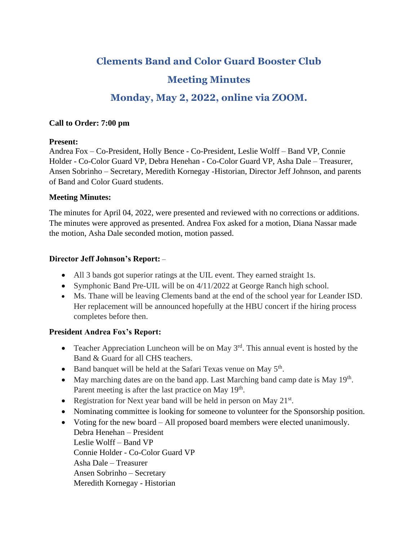# **Clements Band and Color Guard Booster Club**

## **Meeting Minutes**

### **Monday, May 2, 2022, online via ZOOM.**

#### **Call to Order: 7:00 pm**

#### **Present:**

Andrea Fox – Co-President, Holly Bence - Co-President, Leslie Wolff – Band VP, Connie Holder - Co-Color Guard VP, Debra Henehan - Co-Color Guard VP, Asha Dale – Treasurer, Ansen Sobrinho – Secretary, Meredith Kornegay -Historian, Director Jeff Johnson, and parents of Band and Color Guard students.

#### **Meeting Minutes:**

The minutes for April 04, 2022, were presented and reviewed with no corrections or additions. The minutes were approved as presented. Andrea Fox asked for a motion, Diana Nassar made the motion, Asha Dale seconded motion, motion passed.

#### **Director Jeff Johnson's Report:** –

- All 3 bands got superior ratings at the UIL event. They earned straight 1s.
- Symphonic Band Pre-UIL will be on 4/11/2022 at George Ranch high school.
- Ms. Thane will be leaving Clements band at the end of the school year for Leander ISD. Her replacement will be announced hopefully at the HBU concert if the hiring process completes before then.

### **President Andrea Fox's Report:**

- Teacher Appreciation Luncheon will be on May  $3<sup>rd</sup>$ . This annual event is hosted by the Band & Guard for all CHS teachers.
- Band banquet will be held at the Safari Texas venue on May 5<sup>th</sup>.
- May marching dates are on the band app. Last Marching band camp date is May  $19<sup>th</sup>$ . Parent meeting is after the last practice on May 19<sup>th</sup>.
- Registration for Next year band will be held in person on May  $21^{st}$ .
- Nominating committee is looking for someone to volunteer for the Sponsorship position.
- Voting for the new board All proposed board members were elected unanimously. Debra Henehan – President Leslie Wolff – Band VP Connie Holder - Co-Color Guard VP Asha Dale – Treasurer Ansen Sobrinho – Secretary Meredith Kornegay - Historian